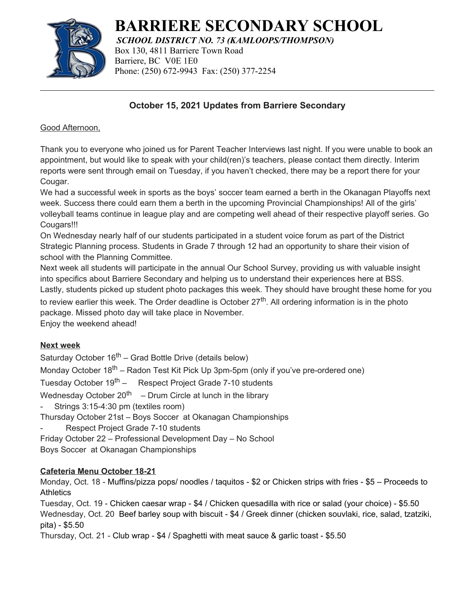

# **BARRIERE SECONDARY SCHOOL**

*SCHOOL DISTRICT NO. 73 (KAMLOOPS/THOMPSON)* Box 130, 4811 Barriere Town Road Barriere, BC V0E 1E0 Phone: (250) 672-9943 Fax: (250) 377-2254

## **October 15, 2021 Updates from Barriere Secondary**

Good Afternoon,

Thank you to everyone who joined us for Parent Teacher Interviews last night. If you were unable to book an appointment, but would like to speak with your child(ren)'s teachers, please contact them directly. Interim reports were sent through email on Tuesday, if you haven't checked, there may be a report there for your Cougar.

We had a successful week in sports as the boys' soccer team earned a berth in the Okanagan Playoffs next week. Success there could earn them a berth in the upcoming Provincial Championships! All of the girls' volleyball teams continue in league play and are competing well ahead of their respective playoff series. Go Cougars!!!

On Wednesday nearly half of our students participated in a student voice forum as part of the District Strategic Planning process. Students in Grade 7 through 12 had an opportunity to share their vision of school with the Planning Committee.

Next week all students will participate in the annual Our School Survey, providing us with valuable insight into specifics about Barriere Secondary and helping us to understand their experiences here at BSS. Lastly, students picked up student photo packages this week. They should have brought these home for you

to review earlier this week. The Order deadline is October  $27<sup>th</sup>$ . All ordering information is in the photo package. Missed photo day will take place in November.

Enjoy the weekend ahead!

## **Next week**

Saturday October  $16<sup>th</sup>$  – Grad Bottle Drive (details below)

Monday October  $18<sup>th</sup>$  – Radon Test Kit Pick Up 3pm-5pm (only if you've pre-ordered one)

Tuesday October 19<sup>th</sup> – Respect Project Grade 7-10 students

Wednesday October 20<sup>th</sup> – Drum Circle at lunch in the library

Strings 3:15-4:30 pm (textiles room)

Thursday October 21st – Boys Soccer at Okanagan Championships

Respect Project Grade 7-10 students

Friday October 22 – Professional Development Day – No School

Boys Soccer at Okanagan Championships

## **Cafeteria Menu October 18-21**

Monday, Oct. 18 - Muffins/pizza pops/ noodles / taquitos - \$2 or Chicken strips with fries - \$5 – Proceeds to **Athletics** 

Tuesday, Oct. 19 - Chicken caesar wrap - \$4 / Chicken quesadilla with rice or salad (your choice) - \$5.50 Wednesday, Oct. 20 Beef barley soup with biscuit - \$4 / Greek dinner (chicken souvlaki, rice, salad, tzatziki, pita) - \$5.50

Thursday, Oct. 21 - Club wrap - \$4 / Spaghetti with meat sauce & garlic toast - \$5.50